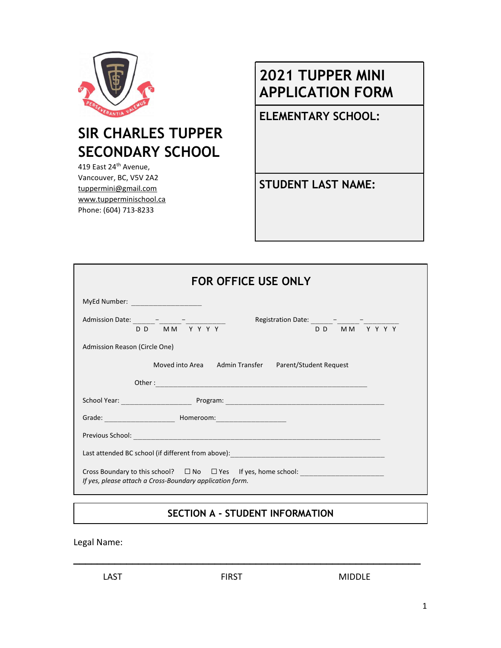

# 2021 TUPPER MINI APPLICATION FORM

ELEMENTARY SCHOOL:

SECONDARY SCHOOL

419 East 24<sup>th</sup> Avenue, Vancouver, BC, V5V 2A2 tuppermini@gmail.com www.tupperminischool.ca Phone: (604) 713-8233

SIR CHARLES TUPPER

STUDENT LAST NAME:

| <b>FOR OFFICE USE ONLY</b>                                                                                                                                                                                                          |  |  |  |  |  |  |  |  |  |
|-------------------------------------------------------------------------------------------------------------------------------------------------------------------------------------------------------------------------------------|--|--|--|--|--|--|--|--|--|
| MyEd Number: _______________________                                                                                                                                                                                                |  |  |  |  |  |  |  |  |  |
| Admission Date: $\frac{1}{D D} - \frac{1}{M M} - \frac{1}{Y Y Y Y Y Y}$<br>DD MM YYYY                                                                                                                                               |  |  |  |  |  |  |  |  |  |
| Admission Reason (Circle One)                                                                                                                                                                                                       |  |  |  |  |  |  |  |  |  |
| Moved into Area Admin Transfer Parent/Student Request                                                                                                                                                                               |  |  |  |  |  |  |  |  |  |
|                                                                                                                                                                                                                                     |  |  |  |  |  |  |  |  |  |
| School Year: <u>New York: Program:</u> Program: 2008. 2009. 2014. 2014. 2014. 2014. 2014. 2014. 2014. 2014. 2014. 2014. 2014. 2014. 2014. 2014. 2014. 2014. 2014. 2014. 2014. 2014. 2014. 2014. 2014. 2014. 2014. 2014. 2014. 2014. |  |  |  |  |  |  |  |  |  |
|                                                                                                                                                                                                                                     |  |  |  |  |  |  |  |  |  |
|                                                                                                                                                                                                                                     |  |  |  |  |  |  |  |  |  |
|                                                                                                                                                                                                                                     |  |  |  |  |  |  |  |  |  |
| Cross Boundary to this school? $\square$ No $\square$ Yes If yes, home school:<br>If yes, please attach a Cross-Boundary application form.                                                                                          |  |  |  |  |  |  |  |  |  |

## SECTION A - STUDENT INFORMATION

\_\_\_\_\_\_\_\_\_\_\_\_\_\_\_\_\_\_\_\_\_\_\_\_\_\_\_\_\_\_\_\_\_\_\_\_\_\_\_\_\_\_\_\_\_\_\_\_\_\_\_\_\_\_\_\_\_\_\_

Legal Name:

LAST **EIRST** FIRST MIDDLE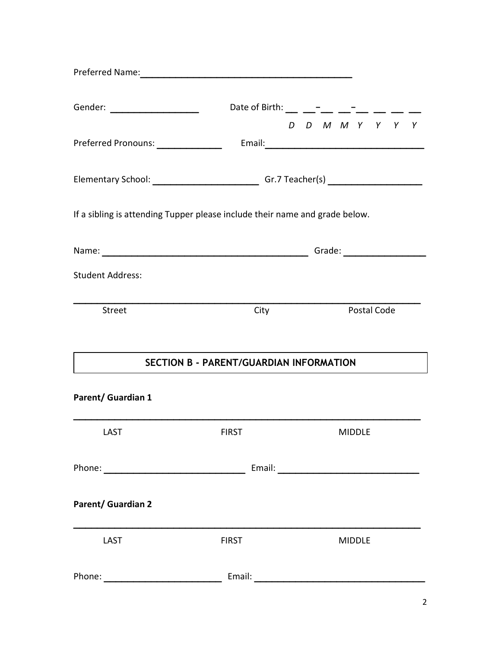| Preferred Name: 2008 and 2008 and 2008 and 2008 and 2008 and 2008 and 2008 and 2008 and 2008 and 2008 and 2008 |                                              |  |  |               |             |                 |  |
|----------------------------------------------------------------------------------------------------------------|----------------------------------------------|--|--|---------------|-------------|-----------------|--|
|                                                                                                                | Date of Birth: __ __ __-_ __ __-             |  |  |               |             |                 |  |
|                                                                                                                |                                              |  |  |               |             | D D M M Y Y Y Y |  |
| Preferred Pronouns: _______________                                                                            |                                              |  |  |               |             |                 |  |
| Elementary School: ________________________________Gr.7 Teacher(s) ______________                              |                                              |  |  |               |             |                 |  |
| If a sibling is attending Tupper please include their name and grade below.                                    |                                              |  |  |               |             |                 |  |
|                                                                                                                |                                              |  |  |               |             |                 |  |
| <b>Student Address:</b>                                                                                        |                                              |  |  |               |             |                 |  |
| <b>Street</b>                                                                                                  | City                                         |  |  |               | Postal Code |                 |  |
|                                                                                                                | SECTION B - PARENT/GUARDIAN INFORMATION      |  |  |               |             |                 |  |
| <b>Parent/ Guardian 1</b>                                                                                      |                                              |  |  |               |             |                 |  |
| LAST                                                                                                           | <b>EXAMPLE 2018 THE STATE OF STATE STATE</b> |  |  | MIDDLE        |             |                 |  |
|                                                                                                                |                                              |  |  |               |             |                 |  |
| <b>Parent/ Guardian 2</b>                                                                                      |                                              |  |  |               |             |                 |  |
| LAST                                                                                                           | <b>FIRST</b>                                 |  |  | <b>MIDDLE</b> |             |                 |  |
|                                                                                                                |                                              |  |  |               |             |                 |  |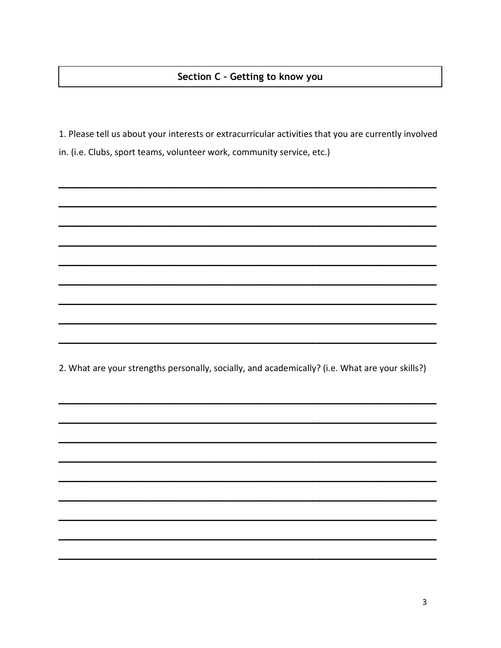#### Section C - Getting to know you

1. Please tell us about your interests or extracurricular activities that you are currently involved in. (i.e. Clubs, sport teams, volunteer work, community service, etc.)

2. What are your strengths personally, socially, and academically? (i.e. What are your skills?)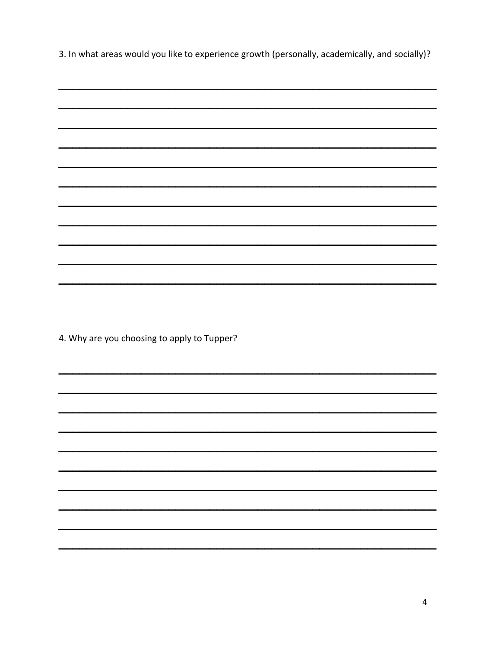3. In what areas would you like to experience growth (personally, academically, and socially)?

| $\overline{\phantom{0}}$ |  |  |
|--------------------------|--|--|
|                          |  |  |
|                          |  |  |
|                          |  |  |
|                          |  |  |
|                          |  |  |
|                          |  |  |
|                          |  |  |

4. Why are you choosing to apply to Tupper?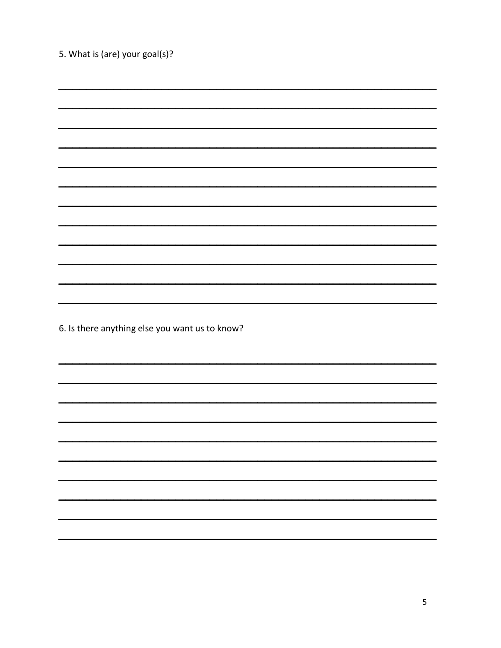| 5. What is (are) your goal(s)?                 |  |
|------------------------------------------------|--|
|                                                |  |
|                                                |  |
|                                                |  |
|                                                |  |
|                                                |  |
|                                                |  |
|                                                |  |
|                                                |  |
|                                                |  |
|                                                |  |
|                                                |  |
|                                                |  |
| 6. Is there anything else you want us to know? |  |
|                                                |  |
|                                                |  |
|                                                |  |
|                                                |  |
|                                                |  |
|                                                |  |
|                                                |  |
|                                                |  |